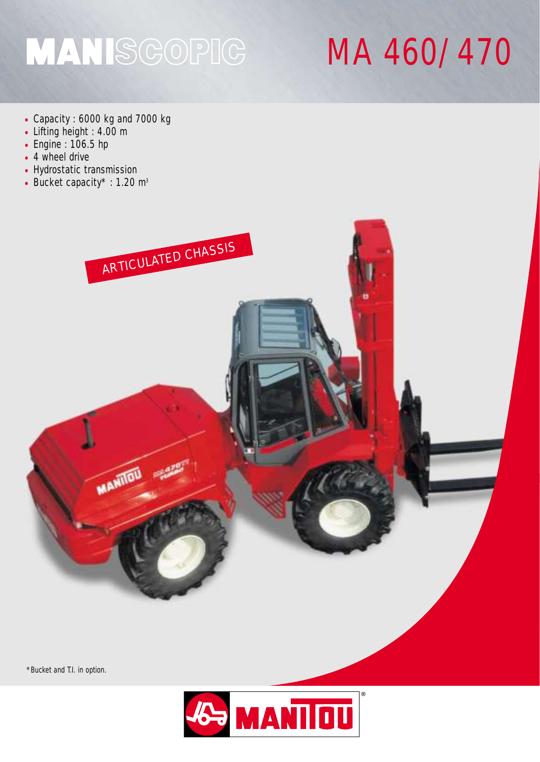## MANISGOPIG

## MA 460/470

- Capacity : 6000 kg and 7000 kg
- Lifting height : 4.00 m
- Engine : 106.5 hp
- 4 wheel drive
- Hydrostatic transmission
- Bucket capacity\* : 1.20  $m<sup>3</sup>$



\*Bucket and T.I. in option.